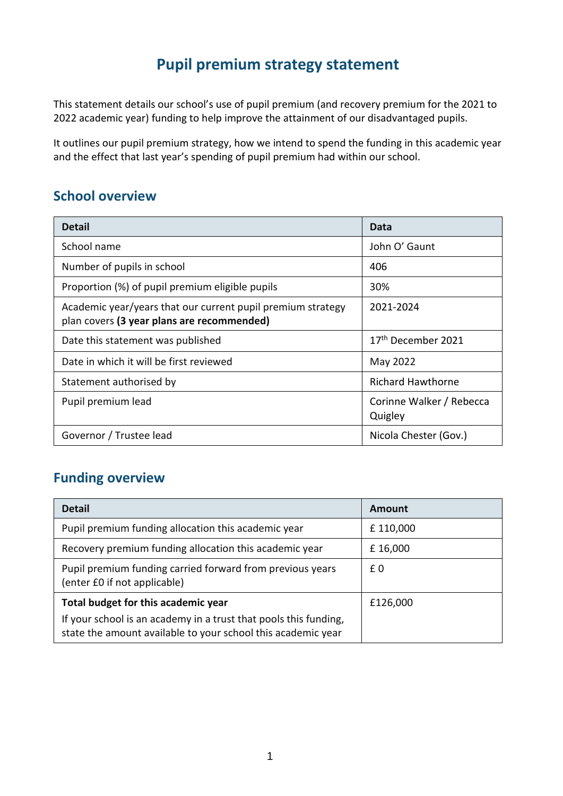## **Pupil premium strategy statement**

This statement details our school's use of pupil premium (and recovery premium for the 2021 to 2022 academic year) funding to help improve the attainment of our disadvantaged pupils.

It outlines our pupil premium strategy, how we intend to spend the funding in this academic year and the effect that last year's spending of pupil premium had within our school.

#### **School overview**

| <b>Detail</b>                                                                                             | Data                                |
|-----------------------------------------------------------------------------------------------------------|-------------------------------------|
| School name                                                                                               | John O' Gaunt                       |
| Number of pupils in school                                                                                | 406                                 |
| Proportion (%) of pupil premium eligible pupils                                                           | 30%                                 |
| Academic year/years that our current pupil premium strategy<br>plan covers (3 year plans are recommended) | 2021-2024                           |
| Date this statement was published                                                                         | 17 <sup>th</sup> December 2021      |
| Date in which it will be first reviewed                                                                   | May 2022                            |
| Statement authorised by                                                                                   | <b>Richard Hawthorne</b>            |
| Pupil premium lead                                                                                        | Corinne Walker / Rebecca<br>Quigley |
| Governor / Trustee lead                                                                                   | Nicola Chester (Gov.)               |

### **Funding overview**

| <b>Detail</b>                                                                                                                    | Amount   |
|----------------------------------------------------------------------------------------------------------------------------------|----------|
| Pupil premium funding allocation this academic year                                                                              | £110,000 |
| Recovery premium funding allocation this academic year                                                                           | £16,000  |
| Pupil premium funding carried forward from previous years<br>(enter £0 if not applicable)                                        | £0       |
| Total budget for this academic year                                                                                              | £126,000 |
| If your school is an academy in a trust that pools this funding,<br>state the amount available to your school this academic year |          |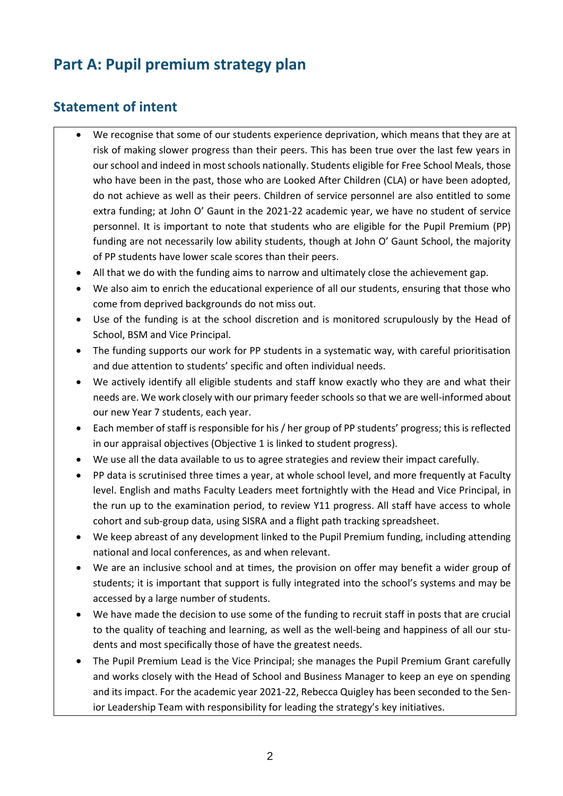## **Part A: Pupil premium strategy plan**

### **Statement of intent**

- We recognise that some of our students experience deprivation, which means that they are at risk of making slower progress than their peers. This has been true over the last few years in our school and indeed in most schools nationally. Students eligible for Free School Meals, those who have been in the past, those who are Looked After Children (CLA) or have been adopted, do not achieve as well as their peers. Children of service personnel are also entitled to some extra funding; at John O' Gaunt in the 2021-22 academic year, we have no student of service personnel. It is important to note that students who are eligible for the Pupil Premium (PP) funding are not necessarily low ability students, though at John O' Gaunt School, the majority of PP students have lower scale scores than their peers.
- All that we do with the funding aims to narrow and ultimately close the achievement gap.
- We also aim to enrich the educational experience of all our students, ensuring that those who come from deprived backgrounds do not miss out.
- Use of the funding is at the school discretion and is monitored scrupulously by the Head of School, BSM and Vice Principal.
- The funding supports our work for PP students in a systematic way, with careful prioritisation and due attention to students' specific and often individual needs.
- We actively identify all eligible students and staff know exactly who they are and what their needs are. We work closely with our primary feeder schools so that we are well-informed about our new Year 7 students, each year.
- Each member of staff is responsible for his / her group of PP students' progress; this is reflected in our appraisal objectives (Objective 1 is linked to student progress).
- We use all the data available to us to agree strategies and review their impact carefully.
- PP data is scrutinised three times a year, at whole school level, and more frequently at Faculty level. English and maths Faculty Leaders meet fortnightly with the Head and Vice Principal, in the run up to the examination period, to review Y11 progress. All staff have access to whole cohort and sub-group data, using SISRA and a flight path tracking spreadsheet.
- We keep abreast of any development linked to the Pupil Premium funding, including attending national and local conferences, as and when relevant.
- We are an inclusive school and at times, the provision on offer may benefit a wider group of students; it is important that support is fully integrated into the school's systems and may be accessed by a large number of students.
- We have made the decision to use some of the funding to recruit staff in posts that are crucial to the quality of teaching and learning, as well as the well-being and happiness of all our students and most specifically those of have the greatest needs.
- The Pupil Premium Lead is the Vice Principal; she manages the Pupil Premium Grant carefully and works closely with the Head of School and Business Manager to keep an eye on spending and its impact. For the academic year 2021-22, Rebecca Quigley has been seconded to the Senior Leadership Team with responsibility for leading the strategy's key initiatives.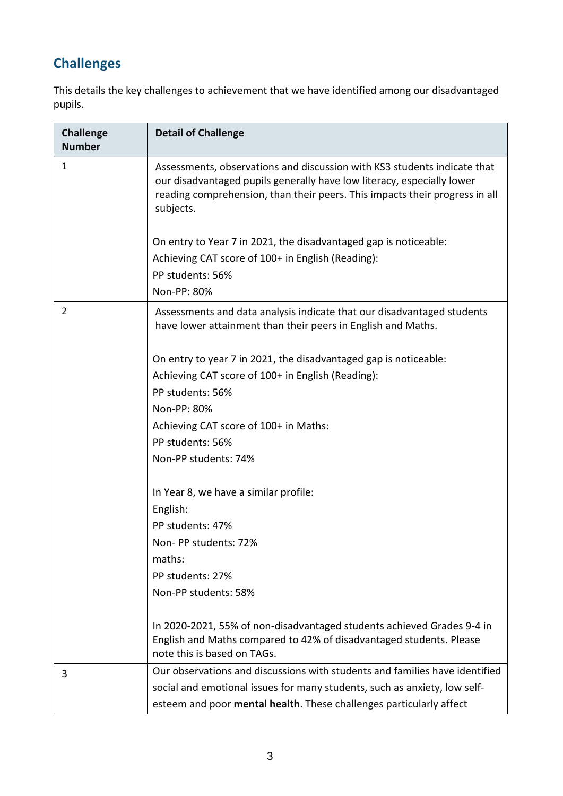# **Challenges**

This details the key challenges to achievement that we have identified among our disadvantaged pupils.

| <b>Challenge</b><br><b>Number</b> | <b>Detail of Challenge</b>                                                                                                                                                                                                                     |
|-----------------------------------|------------------------------------------------------------------------------------------------------------------------------------------------------------------------------------------------------------------------------------------------|
| 1                                 | Assessments, observations and discussion with KS3 students indicate that<br>our disadvantaged pupils generally have low literacy, especially lower<br>reading comprehension, than their peers. This impacts their progress in all<br>subjects. |
|                                   | On entry to Year 7 in 2021, the disadvantaged gap is noticeable:                                                                                                                                                                               |
|                                   | Achieving CAT score of 100+ in English (Reading):                                                                                                                                                                                              |
|                                   | PP students: 56%                                                                                                                                                                                                                               |
|                                   | Non-PP: 80%                                                                                                                                                                                                                                    |
| 2                                 | Assessments and data analysis indicate that our disadvantaged students<br>have lower attainment than their peers in English and Maths.                                                                                                         |
|                                   | On entry to year 7 in 2021, the disadvantaged gap is noticeable:                                                                                                                                                                               |
|                                   | Achieving CAT score of 100+ in English (Reading):                                                                                                                                                                                              |
|                                   | PP students: 56%                                                                                                                                                                                                                               |
|                                   | Non-PP: 80%                                                                                                                                                                                                                                    |
|                                   | Achieving CAT score of 100+ in Maths:                                                                                                                                                                                                          |
|                                   | PP students: 56%                                                                                                                                                                                                                               |
|                                   | Non-PP students: 74%                                                                                                                                                                                                                           |
|                                   | In Year 8, we have a similar profile:                                                                                                                                                                                                          |
|                                   | English:                                                                                                                                                                                                                                       |
|                                   | PP students: 47%                                                                                                                                                                                                                               |
|                                   | Non-PP students: 72%                                                                                                                                                                                                                           |
|                                   | maths:                                                                                                                                                                                                                                         |
|                                   | PP students: 27%                                                                                                                                                                                                                               |
|                                   | Non-PP students: 58%                                                                                                                                                                                                                           |
|                                   | In 2020-2021, 55% of non-disadvantaged students achieved Grades 9-4 in<br>English and Maths compared to 42% of disadvantaged students. Please<br>note this is based on TAGs.                                                                   |
| 3                                 | Our observations and discussions with students and families have identified                                                                                                                                                                    |
|                                   | social and emotional issues for many students, such as anxiety, low self-                                                                                                                                                                      |
|                                   | esteem and poor mental health. These challenges particularly affect                                                                                                                                                                            |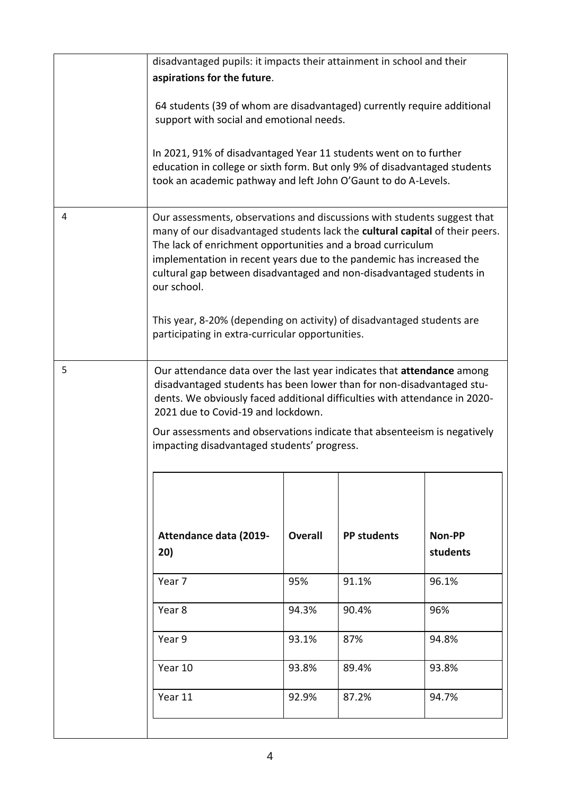|                                    | disadvantaged pupils: it impacts their attainment in school and their                                                                                                                                                                                                                                                                                                                                                                                                                                                |                |                    |                    |
|------------------------------------|----------------------------------------------------------------------------------------------------------------------------------------------------------------------------------------------------------------------------------------------------------------------------------------------------------------------------------------------------------------------------------------------------------------------------------------------------------------------------------------------------------------------|----------------|--------------------|--------------------|
|                                    | aspirations for the future.                                                                                                                                                                                                                                                                                                                                                                                                                                                                                          |                |                    |                    |
|                                    | 64 students (39 of whom are disadvantaged) currently require additional<br>support with social and emotional needs.                                                                                                                                                                                                                                                                                                                                                                                                  |                |                    |                    |
|                                    | In 2021, 91% of disadvantaged Year 11 students went on to further<br>education in college or sixth form. But only 9% of disadvantaged students<br>took an academic pathway and left John O'Gaunt to do A-Levels.                                                                                                                                                                                                                                                                                                     |                |                    |                    |
| 4                                  | Our assessments, observations and discussions with students suggest that<br>many of our disadvantaged students lack the cultural capital of their peers.<br>The lack of enrichment opportunities and a broad curriculum<br>implementation in recent years due to the pandemic has increased the<br>cultural gap between disadvantaged and non-disadvantaged students in<br>our school.<br>This year, 8-20% (depending on activity) of disadvantaged students are<br>participating in extra-curricular opportunities. |                |                    |                    |
| 5                                  | Our attendance data over the last year indicates that attendance among<br>disadvantaged students has been lower than for non-disadvantaged stu-<br>dents. We obviously faced additional difficulties with attendance in 2020-<br>2021 due to Covid-19 and lockdown.<br>Our assessments and observations indicate that absenteeism is negatively<br>impacting disadvantaged students' progress.                                                                                                                       |                |                    |                    |
|                                    | Attendance data (2019-<br>20)                                                                                                                                                                                                                                                                                                                                                                                                                                                                                        | <b>Overall</b> | <b>PP students</b> | Non-PP<br>students |
|                                    | Year 7                                                                                                                                                                                                                                                                                                                                                                                                                                                                                                               | 95%            | 91.1%              | 96.1%              |
|                                    | Year 8                                                                                                                                                                                                                                                                                                                                                                                                                                                                                                               | 94.3%          | 90.4%              | 96%                |
|                                    | Year 9                                                                                                                                                                                                                                                                                                                                                                                                                                                                                                               | 93.1%          | 87%                | 94.8%              |
|                                    | Year 10                                                                                                                                                                                                                                                                                                                                                                                                                                                                                                              | 93.8%          | 89.4%              | 93.8%              |
| Year 11<br>92.9%<br>87.2%<br>94.7% |                                                                                                                                                                                                                                                                                                                                                                                                                                                                                                                      |                |                    |                    |
|                                    |                                                                                                                                                                                                                                                                                                                                                                                                                                                                                                                      |                |                    |                    |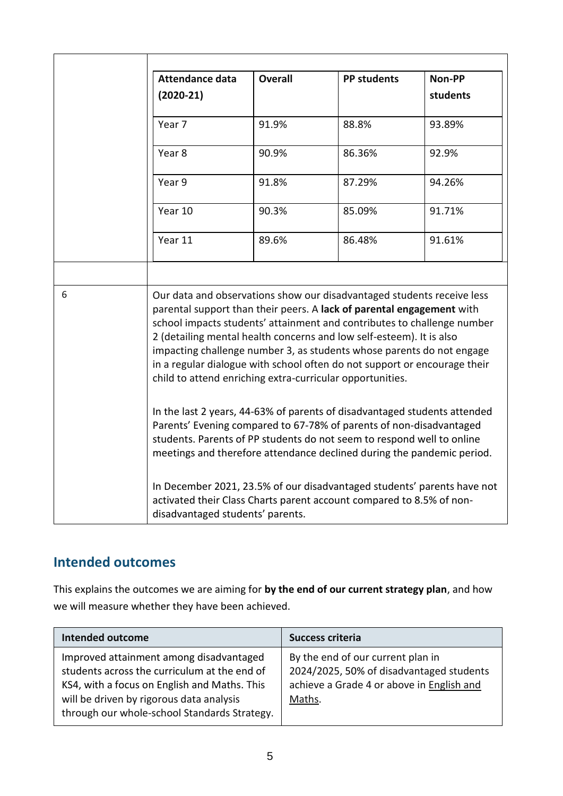|   | <b>Attendance data</b>                                                                                                                                                                                                                                                                                                                                                                                                                                                                                                                                                                             | <b>Overall</b> | <b>PP students</b> | Non-PP   |
|---|----------------------------------------------------------------------------------------------------------------------------------------------------------------------------------------------------------------------------------------------------------------------------------------------------------------------------------------------------------------------------------------------------------------------------------------------------------------------------------------------------------------------------------------------------------------------------------------------------|----------------|--------------------|----------|
|   | $(2020-21)$                                                                                                                                                                                                                                                                                                                                                                                                                                                                                                                                                                                        |                |                    | students |
|   | Year 7                                                                                                                                                                                                                                                                                                                                                                                                                                                                                                                                                                                             | 91.9%          | 88.8%              | 93.89%   |
|   | Year 8                                                                                                                                                                                                                                                                                                                                                                                                                                                                                                                                                                                             | 90.9%          | 86.36%             | 92.9%    |
|   | Year 9                                                                                                                                                                                                                                                                                                                                                                                                                                                                                                                                                                                             | 91.8%          | 87.29%             | 94.26%   |
|   | Year 10                                                                                                                                                                                                                                                                                                                                                                                                                                                                                                                                                                                            | 90.3%          | 85.09%             | 91.71%   |
|   | Year 11                                                                                                                                                                                                                                                                                                                                                                                                                                                                                                                                                                                            | 89.6%          | 86.48%             | 91.61%   |
|   |                                                                                                                                                                                                                                                                                                                                                                                                                                                                                                                                                                                                    |                |                    |          |
| 6 | Our data and observations show our disadvantaged students receive less<br>parental support than their peers. A lack of parental engagement with<br>school impacts students' attainment and contributes to challenge number<br>2 (detailing mental health concerns and low self-esteem). It is also<br>impacting challenge number 3, as students whose parents do not engage<br>in a regular dialogue with school often do not support or encourage their<br>child to attend enriching extra-curricular opportunities.<br>In the last 2 years, 44-63% of parents of disadvantaged students attended |                |                    |          |
|   | Parents' Evening compared to 67-78% of parents of non-disadvantaged<br>students. Parents of PP students do not seem to respond well to online<br>meetings and therefore attendance declined during the pandemic period.<br>In December 2021, 23.5% of our disadvantaged students' parents have not<br>activated their Class Charts parent account compared to 8.5% of non-<br>disadvantaged students' parents.                                                                                                                                                                                     |                |                    |          |
|   |                                                                                                                                                                                                                                                                                                                                                                                                                                                                                                                                                                                                    |                |                    |          |

### **Intended outcomes**

This explains the outcomes we are aiming for **by the end of our current strategy plan**, and how we will measure whether they have been achieved.

| <b>Intended outcome</b>                                                                                                                                                                                                             | Success criteria                                                                                                                     |
|-------------------------------------------------------------------------------------------------------------------------------------------------------------------------------------------------------------------------------------|--------------------------------------------------------------------------------------------------------------------------------------|
| Improved attainment among disadvantaged<br>students across the curriculum at the end of<br>KS4, with a focus on English and Maths. This<br>will be driven by rigorous data analysis<br>through our whole-school Standards Strategy. | By the end of our current plan in<br>2024/2025, 50% of disadvantaged students<br>achieve a Grade 4 or above in English and<br>Maths. |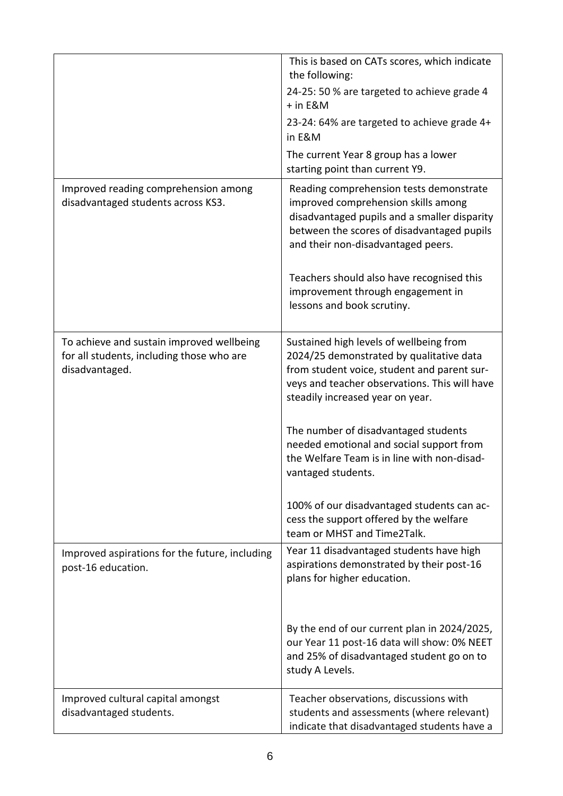|                                                                                                          | This is based on CATs scores, which indicate<br>the following:<br>24-25: 50 % are targeted to achieve grade 4<br>+ in E&M<br>23-24: 64% are targeted to achieve grade 4+<br>in E&M<br>The current Year 8 group has a lower<br>starting point than current Y9.                                                                                                                                                                                                                                            |
|----------------------------------------------------------------------------------------------------------|----------------------------------------------------------------------------------------------------------------------------------------------------------------------------------------------------------------------------------------------------------------------------------------------------------------------------------------------------------------------------------------------------------------------------------------------------------------------------------------------------------|
| Improved reading comprehension among<br>disadvantaged students across KS3.                               | Reading comprehension tests demonstrate<br>improved comprehension skills among<br>disadvantaged pupils and a smaller disparity<br>between the scores of disadvantaged pupils<br>and their non-disadvantaged peers.<br>Teachers should also have recognised this<br>improvement through engagement in<br>lessons and book scrutiny.                                                                                                                                                                       |
| To achieve and sustain improved wellbeing<br>for all students, including those who are<br>disadvantaged. | Sustained high levels of wellbeing from<br>2024/25 demonstrated by qualitative data<br>from student voice, student and parent sur-<br>veys and teacher observations. This will have<br>steadily increased year on year.<br>The number of disadvantaged students<br>needed emotional and social support from<br>the Welfare Team is in line with non-disad-<br>vantaged students.<br>100% of our disadvantaged students can ac-<br>cess the support offered by the welfare<br>team or MHST and Time2Talk. |
| Improved aspirations for the future, including<br>post-16 education.                                     | Year 11 disadvantaged students have high<br>aspirations demonstrated by their post-16<br>plans for higher education.<br>By the end of our current plan in 2024/2025,<br>our Year 11 post-16 data will show: 0% NEET<br>and 25% of disadvantaged student go on to<br>study A Levels.                                                                                                                                                                                                                      |
| Improved cultural capital amongst<br>disadvantaged students.                                             | Teacher observations, discussions with<br>students and assessments (where relevant)<br>indicate that disadvantaged students have a                                                                                                                                                                                                                                                                                                                                                                       |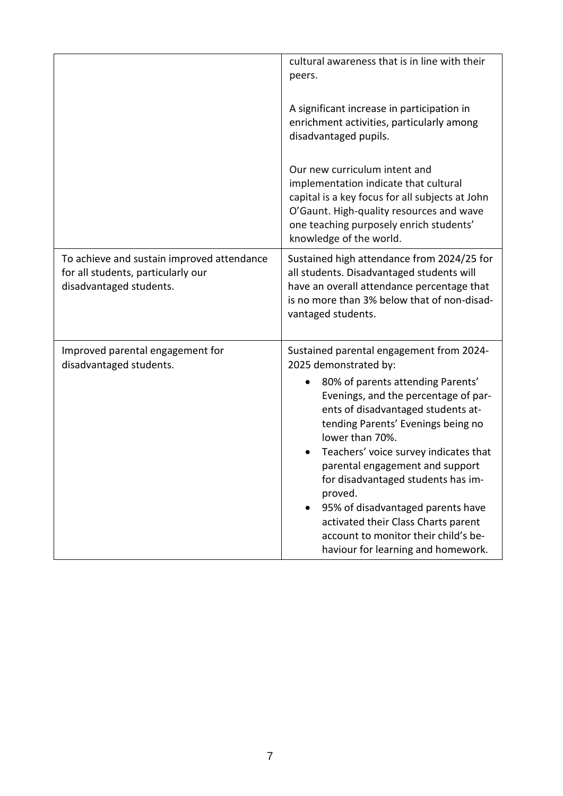|                                                                                                             | cultural awareness that is in line with their<br>peers.                                                                                                                                                                                                                                                                                                                                                                                                                                                                                   |
|-------------------------------------------------------------------------------------------------------------|-------------------------------------------------------------------------------------------------------------------------------------------------------------------------------------------------------------------------------------------------------------------------------------------------------------------------------------------------------------------------------------------------------------------------------------------------------------------------------------------------------------------------------------------|
|                                                                                                             | A significant increase in participation in<br>enrichment activities, particularly among<br>disadvantaged pupils.                                                                                                                                                                                                                                                                                                                                                                                                                          |
|                                                                                                             | Our new curriculum intent and<br>implementation indicate that cultural<br>capital is a key focus for all subjects at John<br>O'Gaunt. High-quality resources and wave<br>one teaching purposely enrich students'<br>knowledge of the world.                                                                                                                                                                                                                                                                                               |
| To achieve and sustain improved attendance<br>for all students, particularly our<br>disadvantaged students. | Sustained high attendance from 2024/25 for<br>all students. Disadvantaged students will<br>have an overall attendance percentage that<br>is no more than 3% below that of non-disad-<br>vantaged students.                                                                                                                                                                                                                                                                                                                                |
| Improved parental engagement for<br>disadvantaged students.                                                 | Sustained parental engagement from 2024-<br>2025 demonstrated by:<br>80% of parents attending Parents'<br>٠<br>Evenings, and the percentage of par-<br>ents of disadvantaged students at-<br>tending Parents' Evenings being no<br>lower than 70%.<br>Teachers' voice survey indicates that<br>parental engagement and support<br>for disadvantaged students has im-<br>proved.<br>95% of disadvantaged parents have<br>activated their Class Charts parent<br>account to monitor their child's be-<br>haviour for learning and homework. |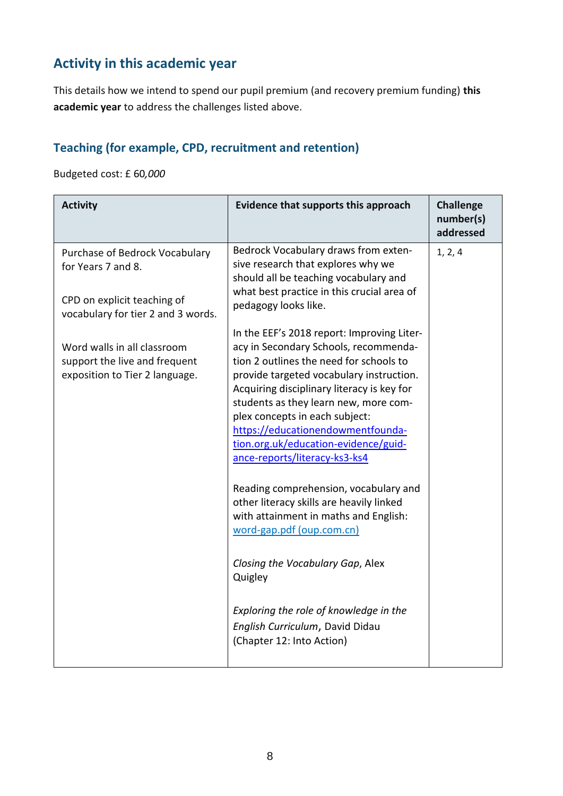## **Activity in this academic year**

This details how we intend to spend our pupil premium (and recovery premium funding) **this academic year** to address the challenges listed above.

#### **Teaching (for example, CPD, recruitment and retention)**

Budgeted cost: £ 60*,000*

| <b>Activity</b>                                                                                                           | Evidence that supports this approach                                                                                                                                                                                                                                                                                                                                                                                                                                                                                                                                                                                                                                                                                                  | <b>Challenge</b><br>number(s)<br>addressed |
|---------------------------------------------------------------------------------------------------------------------------|---------------------------------------------------------------------------------------------------------------------------------------------------------------------------------------------------------------------------------------------------------------------------------------------------------------------------------------------------------------------------------------------------------------------------------------------------------------------------------------------------------------------------------------------------------------------------------------------------------------------------------------------------------------------------------------------------------------------------------------|--------------------------------------------|
| Purchase of Bedrock Vocabulary<br>for Years 7 and 8.<br>CPD on explicit teaching of<br>vocabulary for tier 2 and 3 words. | Bedrock Vocabulary draws from exten-<br>sive research that explores why we<br>should all be teaching vocabulary and<br>what best practice in this crucial area of<br>pedagogy looks like.                                                                                                                                                                                                                                                                                                                                                                                                                                                                                                                                             | 1, 2, 4                                    |
| Word walls in all classroom<br>support the live and frequent<br>exposition to Tier 2 language.                            | In the EEF's 2018 report: Improving Liter-<br>acy in Secondary Schools, recommenda-<br>tion 2 outlines the need for schools to<br>provide targeted vocabulary instruction.<br>Acquiring disciplinary literacy is key for<br>students as they learn new, more com-<br>plex concepts in each subject:<br>https://educationendowmentfounda-<br>tion.org.uk/education-evidence/guid-<br>ance-reports/literacy-ks3-ks4<br>Reading comprehension, vocabulary and<br>other literacy skills are heavily linked<br>with attainment in maths and English:<br>word-gap.pdf (oup.com.cn)<br>Closing the Vocabulary Gap, Alex<br>Quigley<br>Exploring the role of knowledge in the<br>English Curriculum, David Didau<br>(Chapter 12: Into Action) |                                            |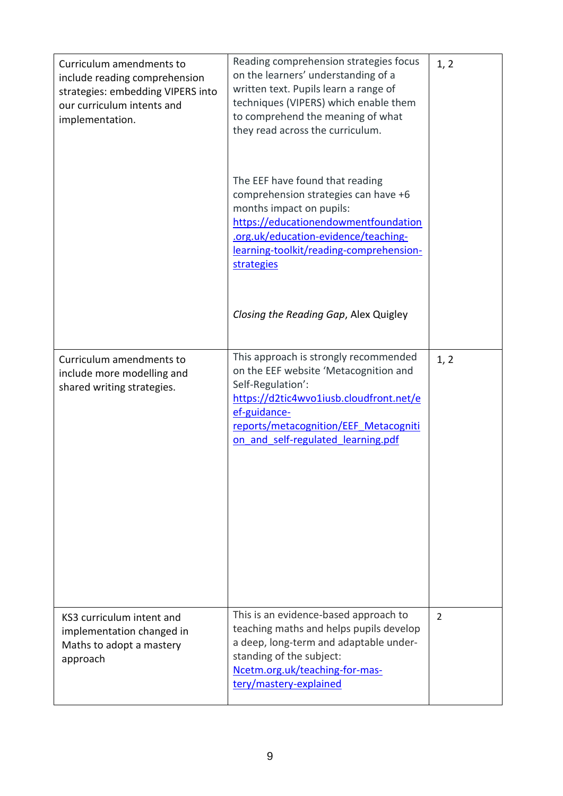| Curriculum amendments to<br>include reading comprehension<br>strategies: embedding VIPERS into<br>our curriculum intents and<br>implementation. | Reading comprehension strategies focus<br>on the learners' understanding of a<br>written text. Pupils learn a range of<br>techniques (VIPERS) which enable them<br>to comprehend the meaning of what<br>they read across the curriculum.      | 1, 2 |
|-------------------------------------------------------------------------------------------------------------------------------------------------|-----------------------------------------------------------------------------------------------------------------------------------------------------------------------------------------------------------------------------------------------|------|
|                                                                                                                                                 | The EEF have found that reading<br>comprehension strategies can have +6<br>months impact on pupils:<br>https://educationendowmentfoundation<br>.org.uk/education-evidence/teaching-<br>learning-toolkit/reading-comprehension-<br>strategies  |      |
|                                                                                                                                                 | Closing the Reading Gap, Alex Quigley                                                                                                                                                                                                         |      |
| Curriculum amendments to<br>include more modelling and<br>shared writing strategies.                                                            | This approach is strongly recommended<br>on the EEF website 'Metacognition and<br>Self-Regulation':<br>https://d2tic4wvo1iusb.cloudfront.net/e<br>ef-guidance-<br>reports/metacognition/EEF Metacogniti<br>on and self-regulated learning.pdf | 1, 2 |
| KS3 curriculum intent and<br>implementation changed in<br>Maths to adopt a mastery<br>approach                                                  | This is an evidence-based approach to<br>teaching maths and helps pupils develop<br>a deep, long-term and adaptable under-<br>standing of the subject:<br>Ncetm.org.uk/teaching-for-mas-<br>tery/mastery-explained                            | 2    |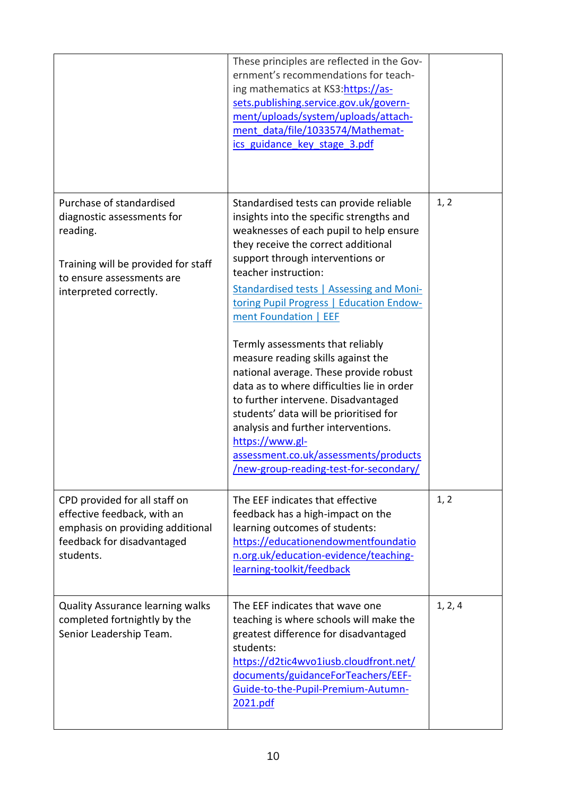|                                                                                                                                                                  | These principles are reflected in the Gov-<br>ernment's recommendations for teach-<br>ing mathematics at KS3:https://as-<br>sets.publishing.service.gov.uk/govern-<br>ment/uploads/system/uploads/attach-<br>ment data/file/1033574/Mathemat-<br>ics guidance key stage 3.pdf                                                                                                                                                                                                                                                                                                                                                                                                                                                                             |         |
|------------------------------------------------------------------------------------------------------------------------------------------------------------------|-----------------------------------------------------------------------------------------------------------------------------------------------------------------------------------------------------------------------------------------------------------------------------------------------------------------------------------------------------------------------------------------------------------------------------------------------------------------------------------------------------------------------------------------------------------------------------------------------------------------------------------------------------------------------------------------------------------------------------------------------------------|---------|
| Purchase of standardised<br>diagnostic assessments for<br>reading.<br>Training will be provided for staff<br>to ensure assessments are<br>interpreted correctly. | Standardised tests can provide reliable<br>insights into the specific strengths and<br>weaknesses of each pupil to help ensure<br>they receive the correct additional<br>support through interventions or<br>teacher instruction:<br><b>Standardised tests   Assessing and Moni-</b><br>toring Pupil Progress   Education Endow-<br>ment Foundation   EEF<br>Termly assessments that reliably<br>measure reading skills against the<br>national average. These provide robust<br>data as to where difficulties lie in order<br>to further intervene. Disadvantaged<br>students' data will be prioritised for<br>analysis and further interventions.<br>https://www.gl-<br>assessment.co.uk/assessments/products<br>/new-group-reading-test-for-secondary/ | 1, 2    |
| CPD provided for all staff on<br>effective feedback, with an<br>emphasis on providing additional<br>feedback for disadvantaged<br>students.                      | The EEF indicates that effective<br>feedback has a high-impact on the<br>learning outcomes of students:<br>https://educationendowmentfoundatio<br>n.org.uk/education-evidence/teaching-<br>learning-toolkit/feedback                                                                                                                                                                                                                                                                                                                                                                                                                                                                                                                                      | 1, 2    |
| <b>Quality Assurance learning walks</b><br>completed fortnightly by the<br>Senior Leadership Team.                                                               | The EEF indicates that wave one<br>teaching is where schools will make the<br>greatest difference for disadvantaged<br>students:<br>https://d2tic4wvo1iusb.cloudfront.net/<br>documents/guidanceForTeachers/EEF-<br>Guide-to-the-Pupil-Premium-Autumn-<br>2021.pdf                                                                                                                                                                                                                                                                                                                                                                                                                                                                                        | 1, 2, 4 |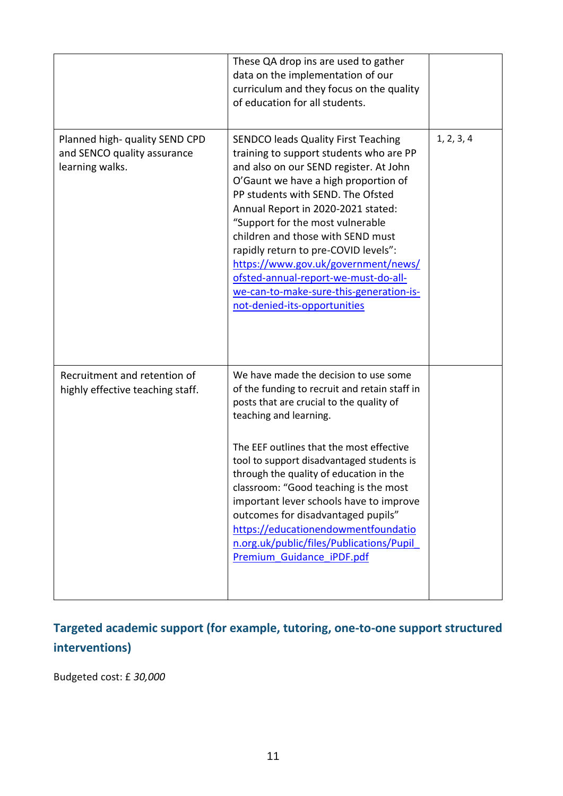|                                                                                  | These QA drop ins are used to gather<br>data on the implementation of our<br>curriculum and they focus on the quality<br>of education for all students.                                                                                                                                                                                                                                                                                                                                                                                    |            |
|----------------------------------------------------------------------------------|--------------------------------------------------------------------------------------------------------------------------------------------------------------------------------------------------------------------------------------------------------------------------------------------------------------------------------------------------------------------------------------------------------------------------------------------------------------------------------------------------------------------------------------------|------------|
| Planned high- quality SEND CPD<br>and SENCO quality assurance<br>learning walks. | <b>SENDCO leads Quality First Teaching</b><br>training to support students who are PP<br>and also on our SEND register. At John<br>O'Gaunt we have a high proportion of<br>PP students with SEND. The Ofsted<br>Annual Report in 2020-2021 stated:<br>"Support for the most vulnerable<br>children and those with SEND must<br>rapidly return to pre-COVID levels":<br>https://www.gov.uk/government/news/<br>ofsted-annual-report-we-must-do-all-<br>we-can-to-make-sure-this-generation-is-<br>not-denied-its-opportunities              | 1, 2, 3, 4 |
| Recruitment and retention of<br>highly effective teaching staff.                 | We have made the decision to use some<br>of the funding to recruit and retain staff in<br>posts that are crucial to the quality of<br>teaching and learning.<br>The EEF outlines that the most effective<br>tool to support disadvantaged students is<br>through the quality of education in the<br>classroom: "Good teaching is the most<br>important lever schools have to improve<br>outcomes for disadvantaged pupils"<br>https://educationendowmentfoundatio<br>n.org.uk/public/files/Publications/Pupil<br>Premium Guidance iPDF.pdf |            |

## **Targeted academic support (for example, tutoring, one-to-one support structured interventions)**

Budgeted cost: £ *30,000*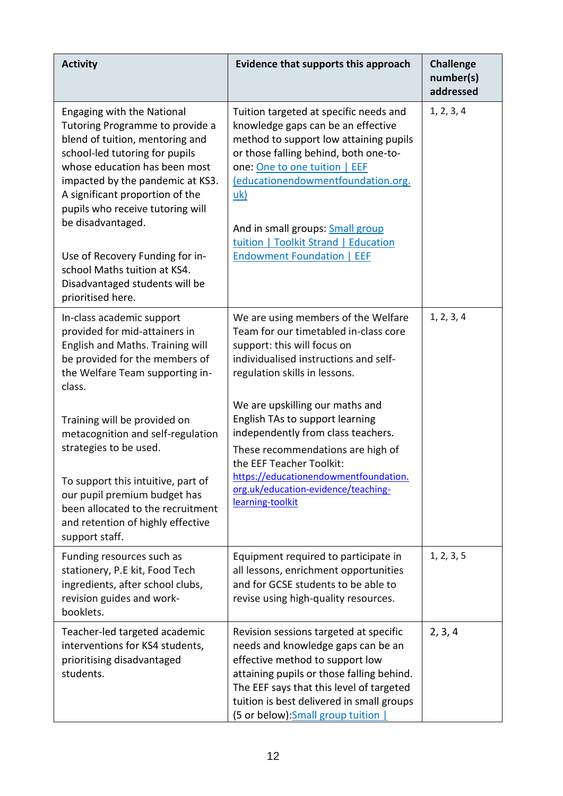| <b>Activity</b>                                                                                                                                                                                                                                                                                                                                                                                                               | Evidence that supports this approach                                                                                                                                                                                                                                                                                                                           | <b>Challenge</b><br>number(s)<br>addressed |
|-------------------------------------------------------------------------------------------------------------------------------------------------------------------------------------------------------------------------------------------------------------------------------------------------------------------------------------------------------------------------------------------------------------------------------|----------------------------------------------------------------------------------------------------------------------------------------------------------------------------------------------------------------------------------------------------------------------------------------------------------------------------------------------------------------|--------------------------------------------|
| Engaging with the National<br>Tutoring Programme to provide a<br>blend of tuition, mentoring and<br>school-led tutoring for pupils<br>whose education has been most<br>impacted by the pandemic at KS3.<br>A significant proportion of the<br>pupils who receive tutoring will<br>be disadvantaged.<br>Use of Recovery Funding for in-<br>school Maths tuition at KS4.<br>Disadvantaged students will be<br>prioritised here. | Tuition targeted at specific needs and<br>knowledge gaps can be an effective<br>method to support low attaining pupils<br>or those falling behind, both one-to-<br>one: One to one tuition   EEF<br>(educationendowmentfoundation.org.<br>uk)<br>And in small groups: Small group<br>tuition   Toolkit Strand   Education<br><b>Endowment Foundation   EEF</b> | 1, 2, 3, 4                                 |
| In-class academic support<br>provided for mid-attainers in<br>English and Maths. Training will<br>be provided for the members of<br>the Welfare Team supporting in-<br>class.                                                                                                                                                                                                                                                 | We are using members of the Welfare<br>Team for our timetabled in-class core<br>support: this will focus on<br>individualised instructions and self-<br>regulation skills in lessons.                                                                                                                                                                          | 1, 2, 3, 4                                 |
| Training will be provided on<br>metacognition and self-regulation<br>strategies to be used.<br>To support this intuitive, part of<br>our pupil premium budget has<br>been allocated to the recruitment<br>and retention of highly effective                                                                                                                                                                                   | We are upskilling our maths and<br>English TAs to support learning<br>independently from class teachers.<br>These recommendations are high of<br>the EEF Teacher Toolkit:<br>https://educationendowmentfoundation.<br>org.uk/education-evidence/teaching-<br>learning-toolkit                                                                                  |                                            |
| support staff.<br>Funding resources such as<br>stationery, P.E kit, Food Tech<br>ingredients, after school clubs,<br>revision guides and work-<br>booklets.                                                                                                                                                                                                                                                                   | Equipment required to participate in<br>all lessons, enrichment opportunities<br>and for GCSE students to be able to<br>revise using high-quality resources.                                                                                                                                                                                                   | 1, 2, 3, 5                                 |
| Teacher-led targeted academic<br>interventions for KS4 students,<br>prioritising disadvantaged<br>students.                                                                                                                                                                                                                                                                                                                   | Revision sessions targeted at specific<br>needs and knowledge gaps can be an<br>effective method to support low<br>attaining pupils or those falling behind.<br>The EEF says that this level of targeted<br>tuition is best delivered in small groups<br>(5 or below): Small group tuition                                                                     | 2, 3, 4                                    |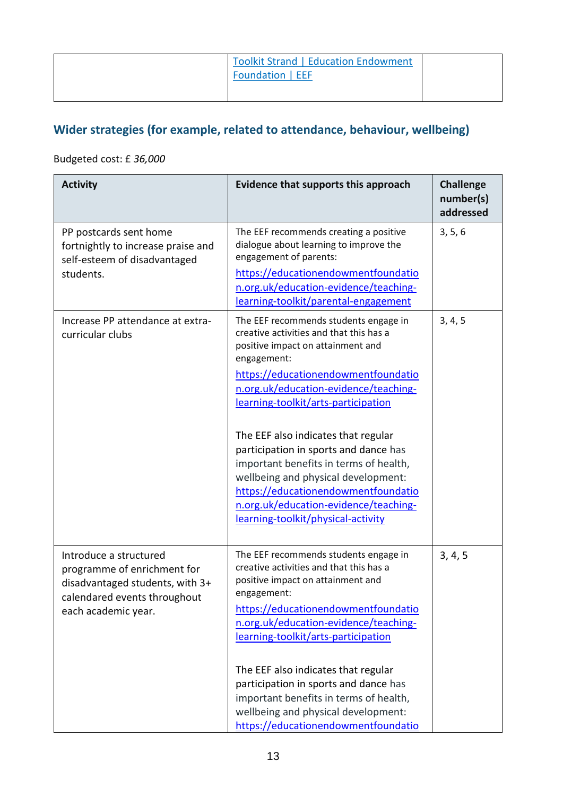| <b>Toolkit Strand   Education Endowment</b><br>Foundation   EEF |  |
|-----------------------------------------------------------------|--|
|-----------------------------------------------------------------|--|

### **Wider strategies (for example, related to attendance, behaviour, wellbeing)**

#### Budgeted cost: £ *36,000*

| <b>Activity</b>                                                                                                                                 | Evidence that supports this approach                                                                                                                                                                                                                                                                                                                                                                                                                                                                                                               | <b>Challenge</b><br>number(s)<br>addressed |
|-------------------------------------------------------------------------------------------------------------------------------------------------|----------------------------------------------------------------------------------------------------------------------------------------------------------------------------------------------------------------------------------------------------------------------------------------------------------------------------------------------------------------------------------------------------------------------------------------------------------------------------------------------------------------------------------------------------|--------------------------------------------|
| PP postcards sent home<br>fortnightly to increase praise and<br>self-esteem of disadvantaged<br>students.                                       | The EEF recommends creating a positive<br>dialogue about learning to improve the<br>engagement of parents:<br>https://educationendowmentfoundatio<br>n.org.uk/education-evidence/teaching-<br>learning-toolkit/parental-engagement                                                                                                                                                                                                                                                                                                                 | 3, 5, 6                                    |
| Increase PP attendance at extra-<br>curricular clubs                                                                                            | The EEF recommends students engage in<br>creative activities and that this has a<br>positive impact on attainment and<br>engagement:<br>https://educationendowmentfoundatio<br>n.org.uk/education-evidence/teaching-<br>learning-toolkit/arts-participation<br>The EEF also indicates that regular<br>participation in sports and dance has<br>important benefits in terms of health,<br>wellbeing and physical development:<br>https://educationendowmentfoundatio<br>n.org.uk/education-evidence/teaching-<br>learning-toolkit/physical-activity | 3, 4, 5                                    |
| Introduce a structured<br>programme of enrichment for<br>disadvantaged students, with 3+<br>calendared events throughout<br>each academic year. | The EEF recommends students engage in<br>creative activities and that this has a<br>positive impact on attainment and<br>engagement:<br>https://educationendowmentfoundatio<br>n.org.uk/education-evidence/teaching-<br>learning-toolkit/arts-participation<br>The EEF also indicates that regular<br>participation in sports and dance has<br>important benefits in terms of health,<br>wellbeing and physical development:<br>https://educationendowmentfoundatio                                                                                | 3, 4, 5                                    |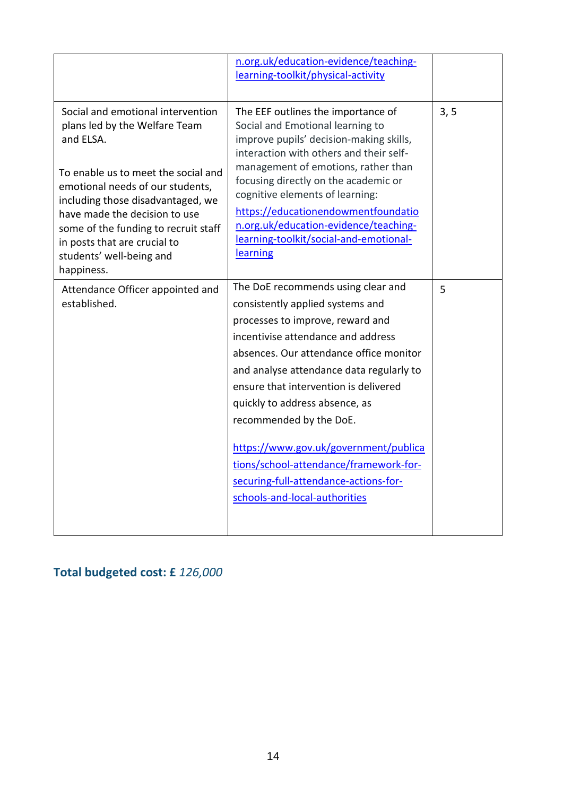|                                                                                                                                                                                                                                                                                                                                                    | n.org.uk/education-evidence/teaching-<br>learning-toolkit/physical-activity                                                                                                                                                                                                                                                                                                                                                                                                                                |      |
|----------------------------------------------------------------------------------------------------------------------------------------------------------------------------------------------------------------------------------------------------------------------------------------------------------------------------------------------------|------------------------------------------------------------------------------------------------------------------------------------------------------------------------------------------------------------------------------------------------------------------------------------------------------------------------------------------------------------------------------------------------------------------------------------------------------------------------------------------------------------|------|
| Social and emotional intervention<br>plans led by the Welfare Team<br>and ELSA.<br>To enable us to meet the social and<br>emotional needs of our students,<br>including those disadvantaged, we<br>have made the decision to use<br>some of the funding to recruit staff<br>in posts that are crucial to<br>students' well-being and<br>happiness. | The EEF outlines the importance of<br>Social and Emotional learning to<br>improve pupils' decision-making skills,<br>interaction with others and their self-<br>management of emotions, rather than<br>focusing directly on the academic or<br>cognitive elements of learning:<br>https://educationendowmentfoundatio<br>n.org.uk/education-evidence/teaching-<br>learning-toolkit/social-and-emotional-<br>learning                                                                                       | 3, 5 |
| Attendance Officer appointed and<br>established.                                                                                                                                                                                                                                                                                                   | The DoE recommends using clear and<br>consistently applied systems and<br>processes to improve, reward and<br>incentivise attendance and address<br>absences. Our attendance office monitor<br>and analyse attendance data regularly to<br>ensure that intervention is delivered<br>quickly to address absence, as<br>recommended by the DoE.<br>https://www.gov.uk/government/publica<br>tions/school-attendance/framework-for-<br>securing-full-attendance-actions-for-<br>schools-and-local-authorities | 5    |

### **Total budgeted cost: £** *126,000*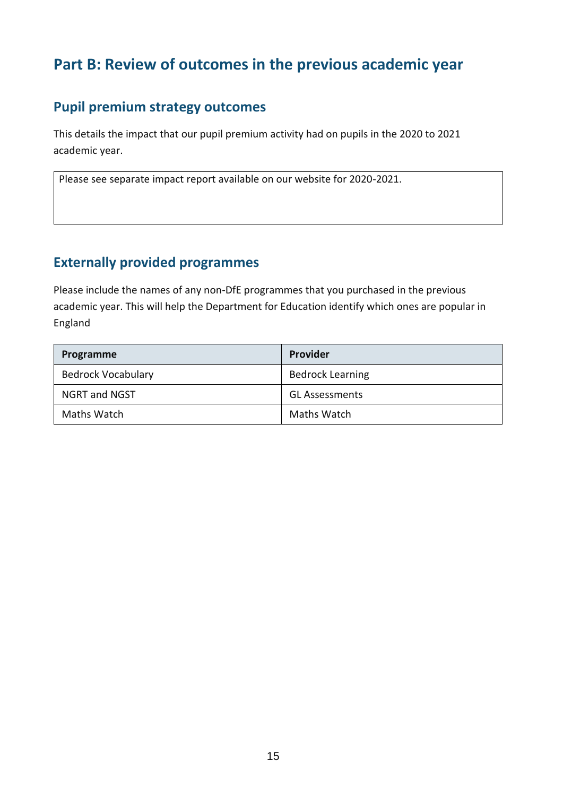## **Part B: Review of outcomes in the previous academic year**

#### **Pupil premium strategy outcomes**

This details the impact that our pupil premium activity had on pupils in the 2020 to 2021 academic year.

Please see separate impact report available on our website for 2020-2021.

#### **Externally provided programmes**

Please include the names of any non-DfE programmes that you purchased in the previous academic year. This will help the Department for Education identify which ones are popular in England

| Programme                 | <b>Provider</b>         |
|---------------------------|-------------------------|
| <b>Bedrock Vocabulary</b> | <b>Bedrock Learning</b> |
| <b>NGRT and NGST</b>      | <b>GL Assessments</b>   |
| Maths Watch               | Maths Watch             |